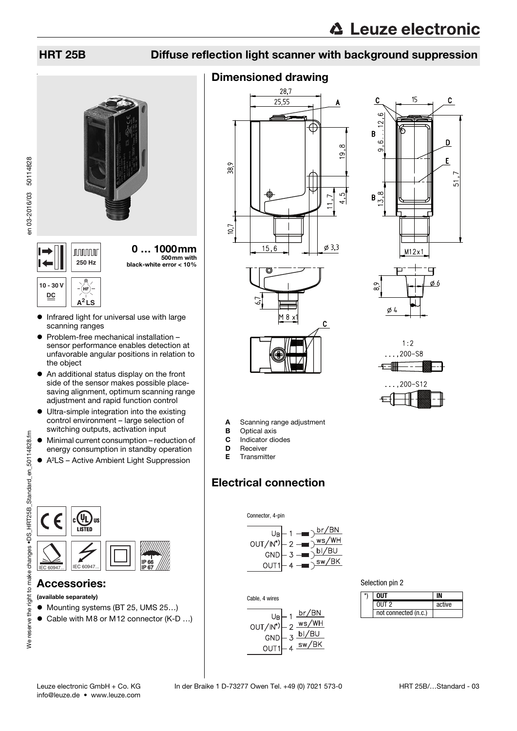# HRT 25B Diffuse reflection light scanner with background suppression



0 … 1000mm 500mm with **250 Hz** black-white error < 10%

#### **10 - 30 V** (hf **DC A<sup>2</sup> LS**

en 03-2016/03 50114828

en 03-2016/03 50114828

- **•** Infrared light for universal use with large scanning ranges
- Problem-free mechanical installation sensor performance enables detection at unfavorable angular positions in relation to the object
- An additional status display on the front side of the sensor makes possible placesaving alignment, optimum scanning range adjustment and rapid function control
- Ultra-simple integration into the existing control environment – large selection of switching outputs, activation input
- Minimal current consumption reduction of energy consumption in standby operation
- A²LS Active Ambient Light Suppression



## Accessories:

- (available separately)
- Mounting systems (BT 25, UMS 25...)
- Cable with M8 or M12 connector (K-D ...)

# Dimensioned drawing









A Scanning range adjustment

- **B** Optical axis
- C Indicator diodes
- D Receiver
- E Transmitter

# Electrical connection





Cable, 4 wires



Selection pin 2

| *\ | NIIT                 |        |
|----|----------------------|--------|
|    | $0UT$ 2              | active |
|    | not connected (n.c.) |        |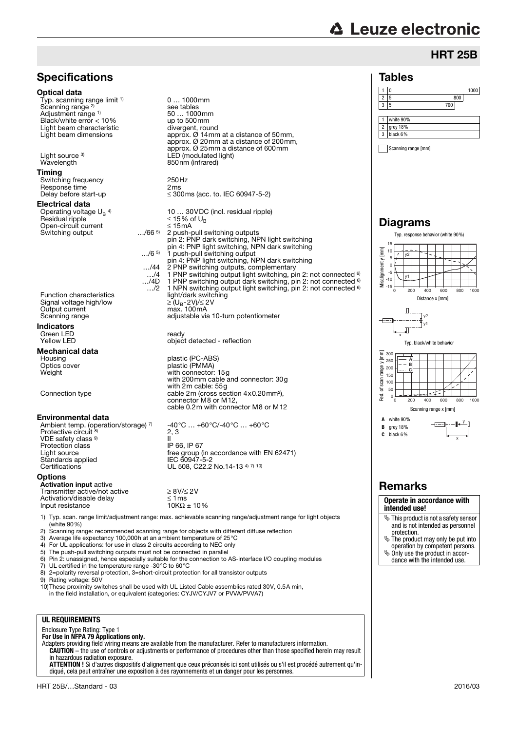# **△ Leuze electronic**

# **HRT 25B**

#### Tables

|                | Ω                    |     | 1000 |
|----------------|----------------------|-----|------|
| 2              | 5                    | 800 |      |
| ٩              | 5                    | 700 |      |
|                |                      |     |      |
|                | white 90%            |     |      |
|                |                      |     |      |
| $\overline{c}$ | grey 18%<br>black 6% |     |      |

Scanning range [mm]

### Diagrams



### Remarks

**Operate in accordance with intended use!**

- This product is not a safety sensor and is not intended as personnel
- protection. The product may only be put into operation by competent persons.
- $\ddot{\phi}$  Only use the product in accordance with the intended use.



**Specifications** 

Typ. scanning range limit <sup>1)</sup>

Optical data

Scanning range<sup>2)</sup>

Adjustment range 1)

1) Typ. scan. range limit/adjustment range: max. achievable scanning range/adjustment range for light objects (white 90%)

2) Scanning range: recommended scanning range for objects with different diffuse reflection<br>3) Average life expectancy 100,000h at an ambient temperature of 25 °C

3) Average life expectancy 100,000h at an ambient temperature of 25°C<br>4) For UL applications: for use in class 2 circuits according to NEC only

For UL applications: for use in class 2 circuits according to NEC only

5) The push-pull switching outputs must not be connected in parallel 6) Pin 2: unassigned, hence especially suitable for the connection to AS-interface I/O coupling modules

7) UL certified in the temperature range -30°C to 60°C 8) 2=polarity reversal protection, 3=short-circuit protection for all transistor outputs

Rating voltage: 50V

10)These proximity switches shall be used with UL Listed Cable assemblies rated 30V, 0.5A min,

in the field installation, or equivalent (categories: CYJV/CYJV7 or PVVA/PVVA7)

#### **UL REQUIREMENTS**

Enclosure Type Rating: Type 1 **For Use in NFPA 79 Applications only.**

Adapters providing field wiring means are available from the manufacturer. Refer to manufacturers information. **CAUTION** – the use of controls or adjustments or performance of procedures other than those specified herein may result

in hazardous radiation exposure. **ATTENTION !** Si d'autres dispositifs d'alignement que ceux préconisés ici sont utilisés ou s'il est procédé autrement qu'indiqué, cela peut entraîner une exposition à des rayonnements et un danger pour les personnes.

# -40°C … +60°C/-40°C … +60°C II<br>IP 66. IP 67 free group (in accordance with EN 62471)<br>IEC 60947-5-2

UL 508, C22.2 No.14-13 4) 7) 10)

0 … 1000mm

see tables<br>50 ... 1000mm<br>up to 500mm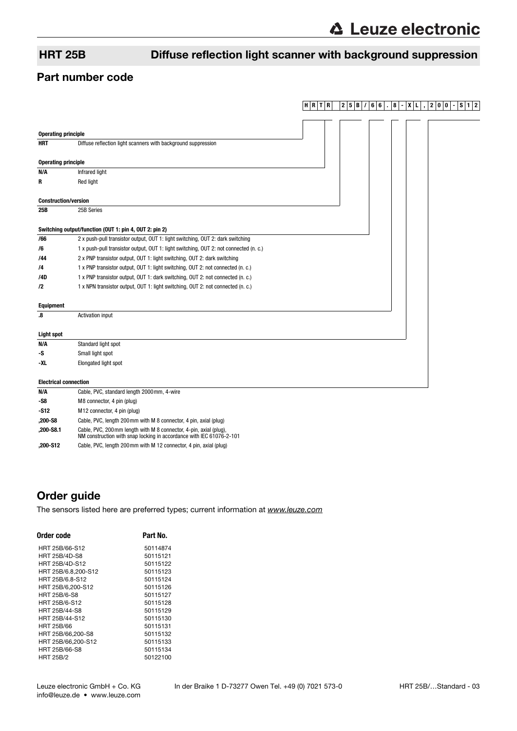**HRTR 25B/ 66 . 8 -XL , 200 -S12**

# HRT 25B Diffuse reflection light scanner with background suppression

### Part number code

| <b>Operating principle</b>                             |                                                                                                                                            |  |  |  |  |  |  |
|--------------------------------------------------------|--------------------------------------------------------------------------------------------------------------------------------------------|--|--|--|--|--|--|
| <b>HRT</b>                                             | Diffuse reflection light scanners with background suppression                                                                              |  |  |  |  |  |  |
|                                                        |                                                                                                                                            |  |  |  |  |  |  |
| <b>Operating principle</b>                             |                                                                                                                                            |  |  |  |  |  |  |
| N/A                                                    | Infrared light                                                                                                                             |  |  |  |  |  |  |
| R                                                      | Red light                                                                                                                                  |  |  |  |  |  |  |
|                                                        |                                                                                                                                            |  |  |  |  |  |  |
| <b>Construction/version</b>                            |                                                                                                                                            |  |  |  |  |  |  |
| 25B                                                    | 25B Series                                                                                                                                 |  |  |  |  |  |  |
|                                                        |                                                                                                                                            |  |  |  |  |  |  |
| Switching output/function (OUT 1: pin 4, OUT 2: pin 2) |                                                                                                                                            |  |  |  |  |  |  |
| /66                                                    | 2 x push-pull transistor output, OUT 1: light switching, OUT 2: dark switching                                                             |  |  |  |  |  |  |
| /6                                                     | 1 x push-pull transistor output, OUT 1: light switching, OUT 2: not connected (n. c.)                                                      |  |  |  |  |  |  |
| /44                                                    | 2 x PNP transistor output, OUT 1: light switching, OUT 2: dark switching                                                                   |  |  |  |  |  |  |
| /4                                                     | 1 x PNP transistor output, OUT 1: light switching, OUT 2: not connected (n. c.)                                                            |  |  |  |  |  |  |
| /4D                                                    | 1 x PNP transistor output, OUT 1: dark switching, OUT 2: not connected (n. c.)                                                             |  |  |  |  |  |  |
| /2                                                     | 1 x NPN transistor output, OUT 1: light switching, OUT 2: not connected (n. c.)                                                            |  |  |  |  |  |  |
|                                                        |                                                                                                                                            |  |  |  |  |  |  |
| <b>Equipment</b>                                       |                                                                                                                                            |  |  |  |  |  |  |
| $\boldsymbol{.8}$                                      | <b>Activation input</b>                                                                                                                    |  |  |  |  |  |  |
|                                                        |                                                                                                                                            |  |  |  |  |  |  |
| <b>Light spot</b>                                      |                                                                                                                                            |  |  |  |  |  |  |
| N/A                                                    | Standard light spot                                                                                                                        |  |  |  |  |  |  |
| -S                                                     | Small light spot                                                                                                                           |  |  |  |  |  |  |
| -XL                                                    | Elongated light spot                                                                                                                       |  |  |  |  |  |  |
| <b>Electrical connection</b>                           |                                                                                                                                            |  |  |  |  |  |  |
| N/A                                                    | Cable, PVC, standard length 2000mm, 4-wire                                                                                                 |  |  |  |  |  |  |
| $-$ S8                                                 | M8 connector, 4 pin (plug)                                                                                                                 |  |  |  |  |  |  |
| $-S12$                                                 | M12 connector, 4 pin (plug)                                                                                                                |  |  |  |  |  |  |
| ,200-S8                                                | Cable, PVC, length 200mm with M 8 connector, 4 pin, axial (plug)                                                                           |  |  |  |  |  |  |
| ,200-S8.1                                              | Cable, PVC, 200 mm length with M 8 connector, 4-pin, axial (plug),<br>NM construction with snap locking in accordance with IEC 61076-2-101 |  |  |  |  |  |  |

**,200-S12** Cable, PVC, length 200mm with M 12 connector, 4 pin, axial (plug)

# Order guide

[The sensors listed here are preferred types; current information at](http://www.leuze.com) www.leuze.com

| Order code           | Part No. |  |  |  |  |  |
|----------------------|----------|--|--|--|--|--|
| HRT 25B/66-S12       | 50114874 |  |  |  |  |  |
| <b>HRT 25B/4D-S8</b> | 50115121 |  |  |  |  |  |
| HRT 25B/4D-S12       | 50115122 |  |  |  |  |  |
| HRT 25B/6.8.200-S12  | 50115123 |  |  |  |  |  |
| HRT 25B/6.8-S12      | 50115124 |  |  |  |  |  |
| HRT 25B/6.200-S12    | 50115126 |  |  |  |  |  |
| <b>HRT 25B/6-S8</b>  | 50115127 |  |  |  |  |  |
| HRT 25B/6-S12        | 50115128 |  |  |  |  |  |
| HRT 25B/44-S8        | 50115129 |  |  |  |  |  |
| HRT 25B/44-S12       | 50115130 |  |  |  |  |  |
| HRT 25B/66           | 50115131 |  |  |  |  |  |
| HRT 25B/66.200-S8    | 50115132 |  |  |  |  |  |
| HRT 25B/66.200-S12   | 50115133 |  |  |  |  |  |
| HRT 25B/66-S8        | 50115134 |  |  |  |  |  |
| <b>HRT 25B/2</b>     | 50122100 |  |  |  |  |  |